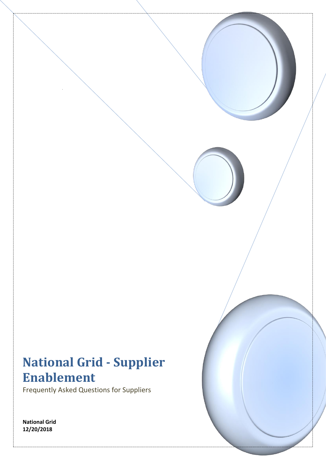# **National Grid - Supplier Enablement**

Frequently Asked Questions for Suppliers

**National Grid 12/20/2018**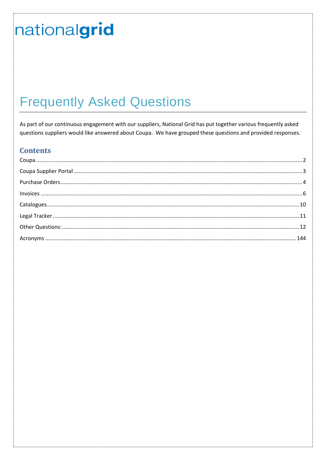# **Frequently Asked Questions**

As part of our continuous engagement with our suppliers, National Grid has put together various frequently asked questions suppliers would like answered about Coupa. We have grouped these questions and provided responses.

#### **Contents**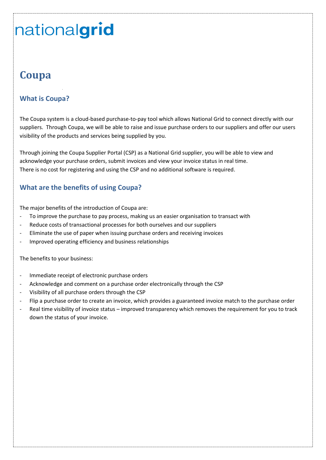# <span id="page-2-0"></span>**Coupa**

#### **What is Coupa?**

The Coupa system is a cloud-based purchase-to-pay tool which allows National Grid to connect directly with our suppliers. Through Coupa, we will be able to raise and issue purchase orders to our suppliers and offer our users visibility of the products and services being supplied by you.

Through joining the Coupa Supplier Portal (CSP) as a National Grid supplier, you will be able to view and acknowledge your purchase orders, submit invoices and view your invoice status in real time. There is no cost for registering and using the CSP and no additional software is required.

#### **What are the benefits of using Coupa?**

The major benefits of the introduction of Coupa are:

- To improve the purchase to pay process, making us an easier organisation to transact with
- Reduce costs of transactional processes for both ourselves and our suppliers
- Eliminate the use of paper when issuing purchase orders and receiving invoices
- Improved operating efficiency and business relationships

The benefits to your business:

- Immediate receipt of electronic purchase orders
- Acknowledge and comment on a purchase order electronically through the CSP
- Visibility of all purchase orders through the CSP
- Flip a purchase order to create an invoice, which provides a guaranteed invoice match to the purchase order
- Real time visibility of invoice status improved transparency which removes the requirement for you to track down the status of your invoice.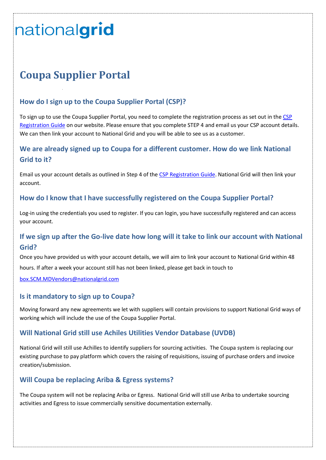# <span id="page-3-0"></span>**Coupa Supplier Portal**

### **How do I sign up to the Coupa Supplier Portal (CSP)?**

To sign up to use the Coupa Supplier Portal, you need to complete the registration process as set out in th[e CSP](https://www.nationalgrid.com/sites/default/files/documents/CSP%20Sign%20Up%20QRG%20BAU%20Process.pdf)  [Registration Guide](https://www.nationalgrid.com/sites/default/files/documents/CSP%20Sign%20Up%20QRG%20BAU%20Process.pdf) on our website. Please ensure that you complete STEP 4 and email us your CSP account details. We can then link your account to National Grid and you will be able to see us as a customer.

### **We are already signed up to Coupa for a different customer. How do we link National Grid to it?**

Email us your account details as outlined in Step 4 of the [CSP Registration Guide.](https://www.nationalgrid.com/sites/default/files/documents/CSP%20Sign%20Up%20QRG%20BAU%20Process.pdf) National Grid will then link your account.

#### **How do I know that I have successfully registered on the Coupa Supplier Portal?**

Log-in using the credentials you used to register. If you can login, you have successfully registered and can access your account.

### **If we sign up after the Go-live date how long will it take to link our account with National Grid?**

Once you have provided us with your account details, we will aim to link your account to National Grid within 48

hours. If after a week your account still has not been linked, please get back in touch to

[box.SCM.MDVendors@nationalgrid.com](mailto:box.SCM.MDVendors@nationalgrid.com)

#### **Is it mandatory to sign up to Coupa?**

Moving forward any new agreements we let with suppliers will contain provisions to support National Grid ways of working which will include the use of the Coupa Supplier Portal.

#### **Will National Grid still use Achiles Utilities Vendor Database (UVDB)**

National Grid will still use Achilles to identify suppliers for sourcing activities. The Coupa system is replacing our existing purchase to pay platform which covers the raising of requisitions, issuing of purchase orders and invoice creation/submission.

#### **Will Coupa be replacing Ariba & Egress systems?**

The Coupa system will not be replacing Ariba or Egress. National Grid will still use Ariba to undertake sourcing activities and Egress to issue commercially sensitive documentation externally.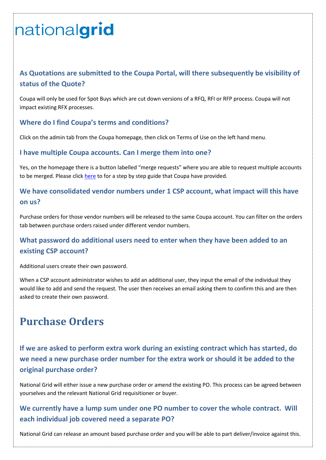## **As Quotations are submitted to the Coupa Portal, will there subsequently be visibility of status of the Quote?**

Coupa will only be used for Spot Buys which are cut down versions of a RFQ, RFI or RFP process. Coupa will not impact existing RFX processes.

#### **Where do I find Coupa's terms and conditions?**

Click on the admin tab from the Coupa homepage, then click on Terms of Use on the left hand menu.

#### **I have multiple Coupa accounts. Can I merge them into one?**

Yes, on the homepage there is a button labelled "merge requests" where you are able to request multiple accounts to be merged. Please clic[k here](https://success.coupa.com/Suppliers/For_Suppliers/Coupa_Supplier_Portal/Administer_the_CSP/03_Manage_Merge_Requests) to for a step by step guide that Coupa have provided.

### **We have consolidated vendor numbers under 1 CSP account, what impact will this have on us?**

Purchase orders for those vendor numbers will be released to the same Coupa account. You can filter on the orders tab between purchase orders raised under different vendor numbers.

### **What password do additional users need to enter when they have been added to an existing CSP account?**

Additional users create their own password.

When a CSP account administrator wishes to add an additional user, they input the email of the individual they would like to add and send the request. The user then receives an email asking them to confirm this and are then asked to create their own password.

# <span id="page-4-0"></span>**Purchase Orders**

**If we are asked to perform extra work during an existing contract which has started, do we need a new purchase order number for the extra work or should it be added to the original purchase order?**

National Grid will either issue a new purchase order or amend the existing PO. This process can be agreed between yourselves and the relevant National Grid requisitioner or buyer.

## **We currently have a lump sum under one PO number to cover the whole contract. Will each individual job covered need a separate PO?**

National Grid can release an amount based purchase order and you will be able to part deliver/invoice against this.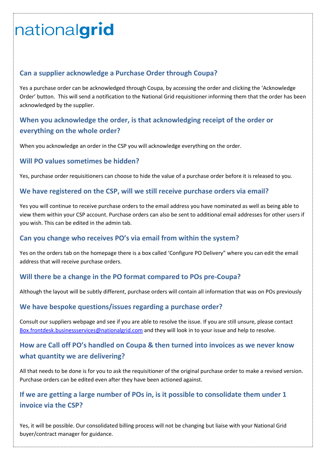#### **Can a supplier acknowledge a Purchase Order through Coupa?**

Yes a purchase order can be acknowledged through Coupa, by accessing the order and clicking the 'Acknowledge Order' button. This will send a notification to the National Grid requisitioner informing them that the order has been acknowledged by the supplier.

## **When you acknowledge the order, is that acknowledging receipt of the order or everything on the whole order?**

When you acknowledge an order in the CSP you will acknowledge everything on the order.

#### **Will PO values sometimes be hidden?**

Yes, purchase order requisitioners can choose to hide the value of a purchase order before it is released to you.

#### **We have registered on the CSP, will we still receive purchase orders via email?**

Yes you will continue to receive purchase orders to the email address you have nominated as well as being able to view them within your CSP account. Purchase orders can also be sent to additional email addresses for other users if you wish. This can be edited in the admin tab.

#### **Can you change who receives PO's via email from within the system?**

Yes on the orders tab on the homepage there is a box called 'Configure PO Delivery" where you can edit the email address that will receive purchase orders.

#### **Will there be a change in the PO format compared to POs pre-Coupa?**

Although the layout will be subtly different, purchase orders will contain all information that was on POs previously

#### **We have bespoke questions/issues regarding a purchase order?**

Consult our suppliers webpage and see if you are able to resolve the issue. If you are still unsure, please contact [Box.frontdesk.businessservices@nationalgrid.com](mailto:Box.frontdesk.businessservices@nationalgrid.com) and they will look in to your issue and help to resolve.

### **How are Call off PO's handled on Coupa & then turned into invoices as we never know what quantity we are delivering?**

All that needs to be done is for you to ask the requisitioner of the original purchase order to make a revised version. Purchase orders can be edited even after they have been actioned against.

### **If we are getting a large number of POs in, is it possible to consolidate them under 1 invoice via the CSP?**

Yes, it will be possible. Our consolidated billing process will not be changing but liaise with your National Grid buyer/contract manager for guidance.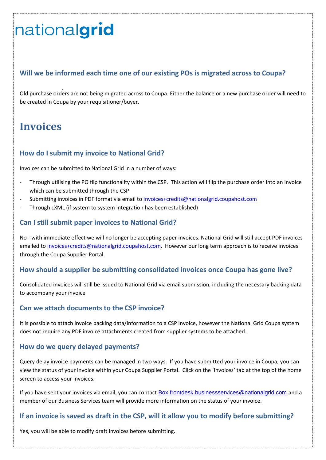### **Will we be informed each time one of our existing POs is migrated across to Coupa?**

Old purchase orders are not being migrated across to Coupa. Either the balance or a new purchase order will need to be created in Coupa by your requisitioner/buyer.

# <span id="page-6-0"></span>**Invoices**

#### **How do I submit my invoice to National Grid?**

Invoices can be submitted to National Grid in a number of ways:

- Through utilising the PO flip functionality within the CSP. This action will flip the purchase order into an invoice which can be submitted through the CSP
- Submitting invoices in PDF format via email to [invoices+credits@nationalgrid.coupahost.com](mailto:invoices+credits@nationalgrid.coupahost.com)
- Through cXML (if system to system integration has been established)

#### **Can I still submit paper invoices to National Grid?**

No - with immediate effect we will no longer be accepting paper invoices. National Grid will still accept PDF invoices emailed to [invoices+credits@nationalgrid.coupahost.com.](mailto:invoices+credits@nationalgrid.coupahost.com) However our long term approach is to receive invoices through the Coupa Supplier Portal.

#### **How should a supplier be submitting consolidated invoices once Coupa has gone live?**

Consolidated invoices will still be issued to National Grid via email submission, including the necessary backing data to accompany your invoice

#### **Can we attach documents to the CSP invoice?**

It is possible to attach invoice backing data/information to a CSP invoice, however the National Grid Coupa system does not require any PDF invoice attachments created from supplier systems to be attached.

#### **How do we query delayed payments?**

Query delay invoice payments can be managed in two ways. If you have submitted your invoice in Coupa, you can view the status of your invoice within your Coupa Supplier Portal. Click on the 'Invoices' tab at the top of the home screen to access your invoices.

If you have sent your invoices via email, you can contact [Box.frontdesk.businessservices@nationalgrid.com](mailto:Box.frontdesk.businessservices@nationalgrid.com) and a member of our Business Services team will provide more information on the status of your invoice.

#### **If an invoice is saved as draft in the CSP, will it allow you to modify before submitting?**

Yes, you will be able to modify draft invoices before submitting.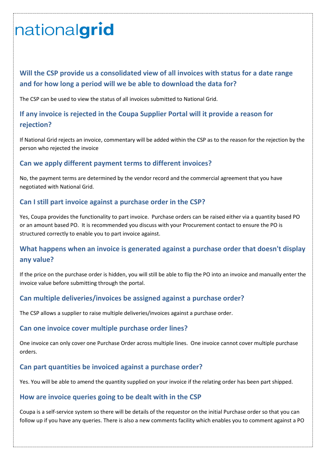# **Will the CSP provide us a consolidated view of all invoices with status for a date range and for how long a period will we be able to download the data for?**

The CSP can be used to view the status of all invoices submitted to National Grid.

## **If any invoice is rejected in the Coupa Supplier Portal will it provide a reason for rejection?**

If National Grid rejects an invoice, commentary will be added within the CSP as to the reason for the rejection by the person who rejected the invoice

#### **Can we apply different payment terms to different invoices?**

No, the payment terms are determined by the vendor record and the commercial agreement that you have negotiated with National Grid.

#### **Can I still part invoice against a purchase order in the CSP?**

Yes, Coupa provides the functionality to part invoice. Purchase orders can be raised either via a quantity based PO or an amount based PO. It is recommended you discuss with your Procurement contact to ensure the PO is structured correctly to enable you to part invoice against.

### **What happens when an invoice is generated against a purchase order that doesn't display any value?**

If the price on the purchase order is hidden, you will still be able to flip the PO into an invoice and manually enter the invoice value before submitting through the portal.

#### **Can multiple deliveries/invoices be assigned against a purchase order?**

The CSP allows a supplier to raise multiple deliveries/invoices against a purchase order.

#### **Can one invoice cover multiple purchase order lines?**

One invoice can only cover one Purchase Order across multiple lines. One invoice cannot cover multiple purchase orders.

#### **Can part quantities be invoiced against a purchase order?**

Yes. You will be able to amend the quantity supplied on your invoice if the relating order has been part shipped.

#### **How are invoice queries going to be dealt with in the CSP**

Coupa is a self-service system so there will be details of the requestor on the initial Purchase order so that you can follow up if you have any queries. There is also a new comments facility which enables you to comment against a PO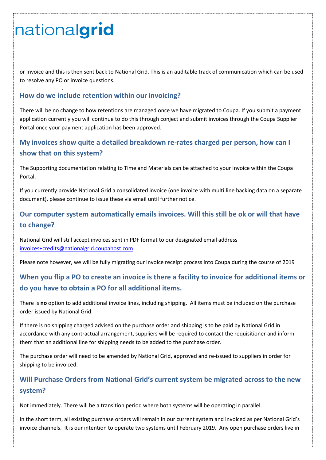or Invoice and this is then sent back to National Grid. This is an auditable track of communication which can be used to resolve any PO or invoice questions.

#### **How do we include retention within our invoicing?**

There will be no change to how retentions are managed once we have migrated to Coupa. If you submit a payment application currently you will continue to do this through conject and submit invoices through the Coupa Supplier Portal once your payment application has been approved.

### **My invoices show quite a detailed breakdown re-rates charged per person, how can I show that on this system?**

The Supporting documentation relating to Time and Materials can be attached to your invoice within the Coupa Portal.

If you currently provide National Grid a consolidated invoice (one invoice with multi line backing data on a separate document), please continue to issue these via email until further notice.

## **Our computer system automatically emails invoices. Will this still be ok or will that have to change?**

National Grid will still accept invoices sent in PDF format to our designated email address [invoices+credits@nationalgrid.coupahost.com.](mailto:invoices+credits@nationalgrid.coupahost.com)

Please note however, we will be fully migrating our invoice receipt process into Coupa during the course of 2019

## **When you flip a PO to create an invoice is there a facility to invoice for additional items or do you have to obtain a PO for all additional items.**

There is **no** option to add additional invoice lines, including shipping. All items must be included on the purchase order issued by National Grid.

If there is no shipping charged advised on the purchase order and shipping is to be paid by National Grid in accordance with any contractual arrangement, suppliers will be required to contact the requisitioner and inform them that an additional line for shipping needs to be added to the purchase order.

The purchase order will need to be amended by National Grid, approved and re-issued to suppliers in order for shipping to be invoiced.

### **Will Purchase Orders from National Grid's current system be migrated across to the new system?**

Not immediately. There will be a transition period where both systems will be operating in parallel.

In the short term, all existing purchase orders will remain in our current system and invoiced as per National Grid's invoice channels. It is our intention to operate two systems until February 2019. Any open purchase orders live in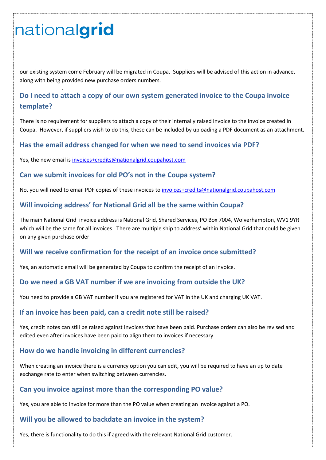our existing system come February will be migrated in Coupa. Suppliers will be advised of this action in advance, along with being provided new purchase orders numbers.

## **Do I need to attach a copy of our own system generated invoice to the Coupa invoice template?**

There is no requirement for suppliers to attach a copy of their internally raised invoice to the invoice created in Coupa. However, if suppliers wish to do this, these can be included by uploading a PDF document as an attachment.

#### **Has the email address changed for when we need to send invoices via PDF?**

Yes, the new email is [invoices+credits@nationalgrid.coupahost.com](mailto:invoices+credits@nationalgrid.coupahost.com)

#### **Can we submit invoices for old PO's not in the Coupa system?**

No, you will need to email PDF copies of these invoices t[o invoices+credits@nationalgrid.coupahost.com](mailto:invoices+credits@nationalgrid.coupahost.com)

#### **Will invoicing address' for National Grid all be the same within Coupa?**

The main National Grid invoice address is National Grid, Shared Services, PO Box 7004, Wolverhampton, WV1 9YR which will be the same for all invoices. There are multiple ship to address' within National Grid that could be given on any given purchase order

#### **Will we receive confirmation for the receipt of an invoice once submitted?**

Yes, an automatic email will be generated by Coupa to confirm the receipt of an invoice.

#### **Do we need a GB VAT number if we are invoicing from outside the UK?**

You need to provide a GB VAT number if you are registered for VAT in the UK and charging UK VAT.

#### **If an invoice has been paid, can a credit note still be raised?**

Yes, credit notes can still be raised against invoices that have been paid. Purchase orders can also be revised and edited even after invoices have been paid to align them to invoices if necessary.

#### **How do we handle invoicing in different currencies?**

When creating an invoice there is a currency option you can edit, you will be required to have an up to date exchange rate to enter when switching between currencies.

#### **Can you invoice against more than the corresponding PO value?**

Yes, you are able to invoice for more than the PO value when creating an invoice against a PO.

#### **Will you be allowed to backdate an invoice in the system?**

Yes, there is functionality to do this if agreed with the relevant National Grid customer.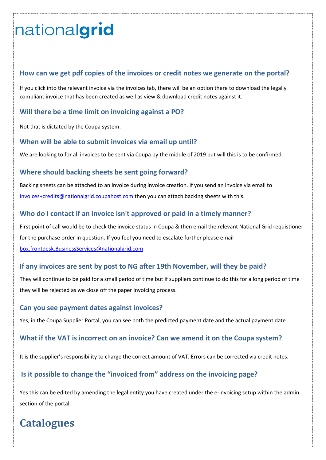#### **How can we get pdf copies of the invoices or credit notes we generate on the portal?**

If you click into the relevant invoice via the invoices tab, there will be an option there to download the legally compliant invoice that has been created as well as view & download credit notes against it.

#### **Will there be a time limit on invoicing against a PO?**

Not that is dictated by the Coupa system.

#### **When will be able to submit invoices via email up until?**

We are looking to for all invoices to be sent via Coupa by the middle of 2019 but will this is to be confirmed.

#### **Where should backing sheets be sent going forward?**

Backing sheets can be attached to an invoice during invoice creation. If you send an invoice via email to [Invoices+credits@nationalgrid.coupahost.com](mailto:Invoices+credits@nationalgrid.coupahost.com) then you can attach backing sheets with this.

#### **Who do I contact if an invoice isn't approved or paid in a timely manner?**

First point of call would be to check the invoice status in Coupa & then email the relevant National Grid requistioner for the purchase order in question. If you feel you need to escalate further please email [box.frontdesk.BusinessServices@nationalgrid.com](mailto:box.frontdesk.BusinessServices@nationalgrid.com)

#### **If any invoices are sent by post to NG after 19th November, will they be paid?**

They will continue to be paid for a small period of time but if suppliers continue to do this for a long period of time they will be rejected as we close off the paper invoicing process.

#### **Can you see payment dates against invoices?**

Yes, in the Coupa Supplier Portal, you can see both the predicted payment date and the actual payment date

#### **What if the VAT is incorrect on an invoice? Can we amend it on the Coupa system?**

It is the supplier's responsibility to charge the correct amount of VAT. Errors can be corrected via credit notes.

#### **Is it possible to change the "invoiced from" address on the invoicing page?**

Yes this can be edited by amending the legal entity you have created under the e-invoicing setup within the admin section of the portal.

# <span id="page-10-0"></span>**Catalogues**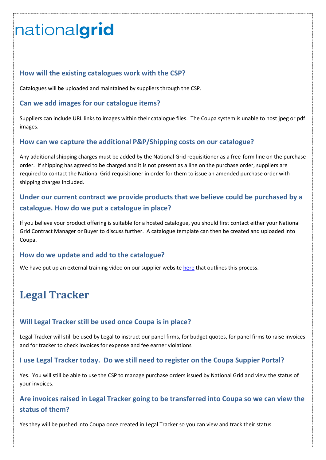#### **How will the existing catalogues work with the CSP?**

Catalogues will be uploaded and maintained by suppliers through the CSP.

#### **Can we add images for our catalogue items?**

Suppliers can include URL links to images within their catalogue files. The Coupa system is unable to host jpeg or pdf images.

#### **How can we capture the additional P&P/Shipping costs on our catalogue?**

Any additional shipping charges must be added by the National Grid requisitioner as a free-form line on the purchase order. If shipping has agreed to be charged and it is not present as a line on the purchase order, suppliers are required to contact the National Grid requisitioner in order for them to issue an amended purchase order with shipping charges included.

## **Under our current contract we provide products that we believe could be purchased by a catalogue. How do we put a catalogue in place?**

If you believe your product offering is suitable for a hosted catalogue, you should first contact either your National Grid Contract Manager or Buyer to discuss further. A catalogue template can then be created and uploaded into Coupa.

#### **How do we update and add to the catalogue?**

We have put up an external training video on our supplier websit[e here](https://players.brightcove.net/2346984621001/6063386d-e888-40a4-9183-5d5574f9df3a_default/index.html?videoId=5970543530001) that outlines this process.

# <span id="page-11-0"></span>**Legal Tracker**

#### **Will Legal Tracker still be used once Coupa is in place?**

Legal Tracker will still be used by Legal to instruct our panel firms, for budget quotes, for panel firms to raise invoices and for tracker to check invoices for expense and fee earner violations

#### **I use Legal Tracker today. Do we still need to register on the Coupa Suppier Portal?**

Yes. You will still be able to use the CSP to manage purchase orders issued by National Grid and view the status of your invoices.

### **Are invoices raised in Legal Tracker going to be transferred into Coupa so we can view the status of them?**

Yes they will be pushed into Coupa once created in Legal Tracker so you can view and track their status.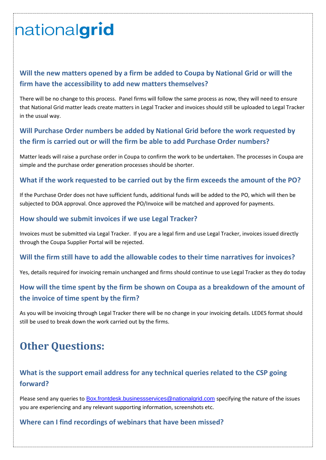## **Will the new matters opened by a firm be added to Coupa by National Grid or will the firm have the accessibility to add new matters themselves?**

There will be no change to this process. Panel firms will follow the same process as now, they will need to ensure that National Grid matter leads create matters in Legal Tracker and invoices should still be uploaded to Legal Tracker in the usual way.

## **Will Purchase Order numbers be added by National Grid before the work requested by the firm is carried out or will the firm be able to add Purchase Order numbers?**

Matter leads will raise a purchase order in Coupa to confirm the work to be undertaken. The processes in Coupa are simple and the purchase order generation processes should be shorter.

#### **What if the work requested to be carried out by the firm exceeds the amount of the PO?**

If the Purchase Order does not have sufficient funds, additional funds will be added to the PO, which will then be subjected to DOA approval. Once approved the PO/Invoice will be matched and approved for payments.

#### **How should we submit invoices if we use Legal Tracker?**

Invoices must be submitted via Legal Tracker. If you are a legal firm and use Legal Tracker, invoices issued directly through the Coupa Supplier Portal will be rejected.

#### **Will the firm still have to add the allowable codes to their time narratives for invoices?**

Yes, details required for invoicing remain unchanged and firms should continue to use Legal Tracker as they do today

## **How will the time spent by the firm be shown on Coupa as a breakdown of the amount of the invoice of time spent by the firm?**

As you will be invoicing through Legal Tracker there will be no change in your invoicing details. LEDES format should still be used to break down the work carried out by the firms.

# <span id="page-12-0"></span>**Other Questions:**

## **What is the support email address for any technical queries related to the CSP going forward?**

Please send any queries to [Box.frontdesk.businessservices@nationalgrid.com](mailto:Box.frontdesk.businessservices@nationalgrid.com) specifying the nature of the issues you are experiencing and any relevant supporting information, screenshots etc.

#### **Where can I find recordings of webinars that have been missed?**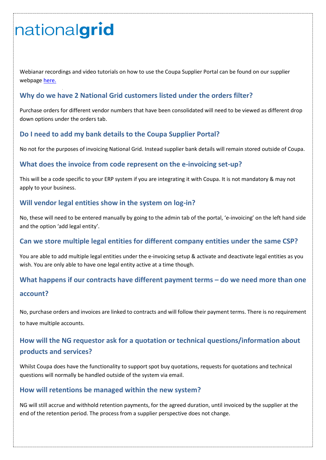Webianar recordings and video tutorials on how to use the Coupa Supplier Portal can be found on our supplier webpage [here.](https://www.nationalgrid.com/group/suppliers/existing-suppliers?utm_source=Webinar+list+Top+T1%2C2%2C+and+T3&utm_campaign=8bcd064c31-EMAIL_CAMPAIGN_2018_10_17_09_38&utm_medium=email&utm_term=0_7c1001a2ec-8bcd064c31-59057785&mc_cid=8bcd064c31&mc_eid=831884f5d9)

#### **Why do we have 2 National Grid customers listed under the orders filter?**

Purchase orders for different vendor numbers that have been consolidated will need to be viewed as different drop down options under the orders tab.

#### **Do I need to add my bank details to the Coupa Supplier Portal?**

No not for the purposes of invoicing National Grid. Instead supplier bank details will remain stored outside of Coupa.

#### **What does the invoice from code represent on the e-invoicing set-up?**

This will be a code specific to your ERP system if you are integrating it with Coupa. It is not mandatory & may not apply to your business.

#### **Will vendor legal entities show in the system on log-in?**

No, these will need to be entered manually by going to the admin tab of the portal, 'e-invoicing' on the left hand side and the option 'add legal entity'.

#### **Can we store multiple legal entities for different company entities under the same CSP?**

You are able to add multiple legal entities under the e-invoicing setup & activate and deactivate legal entities as you wish. You are only able to have one legal entity active at a time though.

# **What happens if our contracts have different payment terms – do we need more than one account?**

No, purchase orders and invoices are linked to contracts and will follow their payment terms. There is no requirement to have multiple accounts.

## **How will the NG requestor ask for a quotation or technical questions/information about products and services?**

Whilst Coupa does have the functionality to support spot buy quotations, requests for quotations and technical questions will normally be handled outside of the system via email.

#### **How will retentions be managed within the new system?**

NG will still accrue and withhold retention payments, for the agreed duration, until invoiced by the supplier at the end of the retention period. The process from a supplier perspective does not change.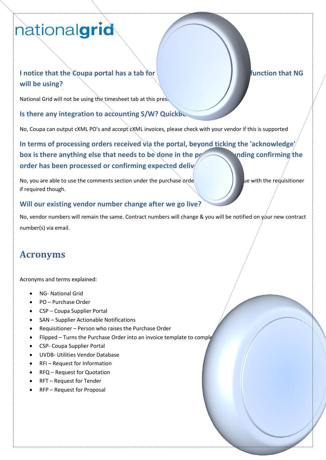# **I** notice that the Coupa portal has a tab for **it is the set of its analysis of the intervalse on its a function that NG will be using?**

National Grid will not be using the timesheet tab at this prese

**Is there any integration to accounting S/W? QuickBooks** 

No, Coupa can output cXML PO's and accept cXML invoices, please check with your vendor if this is supported

**In terms of processing orders received via the portal, beyond ticking the 'acknowledge'**  box is there anything else that needs to be done in the portal surrounding confirming the order has been processed or confirming expected deliv

No, you are able to use the comments section under the purchase orde if required though.

#### **Will our existing vendor number change after we go live?**

No, vendor numbers will remain the same. Contract numbers will change & you will be notified on your new contract number(s) via email.

# <span id="page-14-0"></span>**Acronyms**

Acronyms and terms explained:

- NG- National Grid
- PO Purchase Order
- CSP Coupa Supplier Portal
- SAN Supplier Actionable Notifications
- Requisitioner Person who raises the Purchase Order
- Flipped Turns the Purchase Order into an invoice template to complete
- CSP- Coupa Supplier Portal
- UVDB- Utilities Vendor Database
- RFI Request for Information
- RFQ Request for Quotation
- RFT Request for Tender
- RFP Request for Proposal